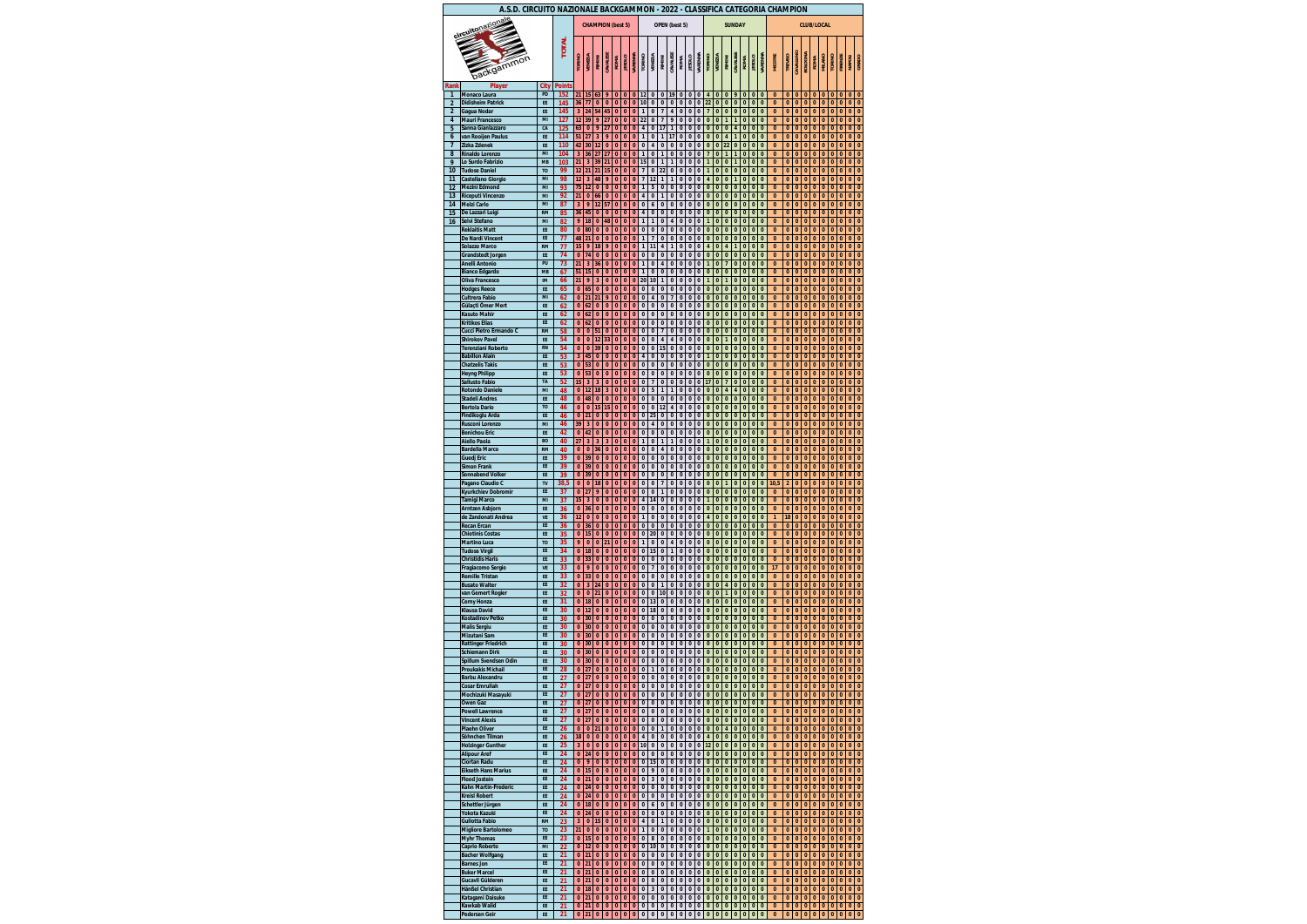| A.S.D. CIRCUITO NAZIONALE BACKGAMMON - 2022 - CLASSIFICA CATEGORIA CHAMPION<br><b>CHAMPION (best 5)</b> |                                                     |                      |               |                               |                      |                          |                      |                           |                          |                              |                                                    |                                      |                              |                                     |                              |               |                   |                              |                      |                                |                                  |                           |                           |                              |                          |                              |                          |                           |                           |                           |  |                           |                          |                          |                              |
|---------------------------------------------------------------------------------------------------------|-----------------------------------------------------|----------------------|---------------|-------------------------------|----------------------|--------------------------|----------------------|---------------------------|--------------------------|------------------------------|----------------------------------------------------|--------------------------------------|------------------------------|-------------------------------------|------------------------------|---------------|-------------------|------------------------------|----------------------|--------------------------------|----------------------------------|---------------------------|---------------------------|------------------------------|--------------------------|------------------------------|--------------------------|---------------------------|---------------------------|---------------------------|--|---------------------------|--------------------------|--------------------------|------------------------------|
|                                                                                                         | circuitonazionale                                   |                      |               |                               |                      |                          |                      |                           |                          |                              | OPEN (best 5)                                      |                                      |                              |                                     |                              |               |                   | <b>SUNDAY</b>                |                      |                                |                                  |                           |                           |                              |                          | <b>CLUB/LOCAL</b>            |                          |                           |                           |                           |  |                           |                          |                          |                              |
|                                                                                                         | backgammon                                          |                      | <b>TOTAL</b>  | <b>TORINO</b>                 | VENEZIA              | RIMINI                   | CAVALES              | <b>ROMA</b>               | <b>JESOLO</b>            | <b>VARENN/</b>               | <b>TORINO</b>                                      | <b>VENEZIA</b>                       | RIMINI                       | CAVALESE                            | <b>ROMA</b>                  | <b>OTOS3I</b> | VARENNA           | <b>TORINO</b>                | <b>VENEZIA</b>       | RIMINI                         | CAVALES                          | <b>ROMA</b>               | <b>JESOLO</b>             | <b><i>VARENNA</i></b>        | <b>MESTRE</b>            | <b>TREVISO</b>               | CAVALLINO                | BOLOGNA                   | <b>ROMA</b>               | <b>MILANO</b>             |  | <b>TORINO</b>             | FIRENZI                  | <b>NAPOLI</b>            | GRADO                        |
| Rank                                                                                                    | Player                                              | City                 | <b>Points</b> |                               |                      |                          |                      |                           |                          |                              |                                                    |                                      |                              |                                     |                              |               |                   |                              |                      |                                |                                  |                           |                           |                              |                          |                              |                          |                           |                           |                           |  |                           |                          |                          |                              |
| $\mathbf{1}$<br>$\overline{2}$                                                                          | <b>Monaco Laura</b><br><b>Didisheim Patrick</b>     | PD<br>EE             | 152<br>145    | 21<br>36                      | 15<br>77             | 63<br>$\bf{0}$           | 9<br>$\bf{0}$        | $\pmb{0}$<br>$\bf{0}$     | $\pmb{0}$<br>$\pmb{0}$   | $\bf{0}$<br>$\bf{0}$         | 12<br>10                                           | 0<br>$\pmb{0}$                       | $\bf{0}$<br>$\pmb{0}$        | 19<br>$\pmb{0}$                     | 0<br>0                       | 0<br>0        | 0<br>0            | 4<br>22                      | 0<br>0               | $\bf{0}$<br>$\bf{0}$           | 9<br>$\pmb{0}$                   | $\pmb{0}$<br>$\pmb{0}$    | $\bf{0}$<br>$\pmb{0}$     | $\bf{0}$<br>$\pmb{0}$        | 0<br>$\bf{0}$            | 0<br>0                       | $\bf{0}$<br>$\pmb{0}$    | $\bf{0}$<br>$\pmb{0}$     | $\bf{0}$<br>$\bf{0}$      | $\pmb{0}$<br>$\bf{0}$     |  | $\pmb{0}$<br>$\pmb{0}$    | $\bf{0}$<br>$\bf{0}$     | $\pmb{0}$<br>$\pmb{0}$   | $\bf{0}$<br>$\bf{0}$         |
| $\overline{2}$                                                                                          | Gagua Nodar                                         | EE                   | 145           | $\overline{\mathbf{3}}$       | 24                   | 54                       | 45                   | $\bf{0}$                  | $\pmb{0}$                | $\bf{0}$                     | $\mathbf{1}$                                       | $\pmb{0}$                            | $\overline{\mathbf{z}}$      | $\pmb{4}$                           | 0                            | 0             | 0                 | $\overline{7}$               | 0                    | $\bf{0}$                       | $\pmb{0}$                        | $\pmb{0}$                 | $\pmb{0}$                 | $\pmb{0}$                    | $\bf{0}$                 | $\bf{0}$                     | $\bf{0}$                 | $\pmb{0}$                 | $\bf{0}$                  | $\bf{0}$                  |  | $\pmb{0}$                 | $\pmb{0}$                | $\pmb{0}$                | $\bf{0}$                     |
| 4                                                                                                       | <b>Mauri Francesco</b>                              | MI                   | 127           | 12                            | 39                   | 9                        | 27                   | $\pmb{0}$                 | $\pmb{0}$                | $\pmb{0}$                    | 22                                                 | $\pmb{0}$                            | $\overline{\mathbf{z}}$      | 9                                   | 0                            | 0             | 0                 | 0                            | 0                    | $\mathbf{1}$                   | $\mathbf{1}$                     | $\pmb{0}$                 | $\pmb{0}$                 | $\pmb{0}$                    | $\bf{0}$                 | 0                            | $\pmb{0}$                | $\pmb{0}$                 | $\pmb{0}$                 | $\pmb{0}$                 |  | $\pmb{0}$                 | $\bf{0}$                 | $\pmb{0}$                | $\bf{0}$                     |
| 5                                                                                                       | Sanna Gianlazzaro                                   | CA<br>EE             | 125           | 63<br>51                      | $\mathbf{0}$<br>27   | 9<br>3                   | 27<br>9              | $\bf{0}$<br>$\mathbf{0}$  | $\mathbf{0}$<br>$\bf{0}$ | $\mathbf{0}$<br>$\mathbf{0}$ | $\overline{4}$<br>$\mathbf{1}$                     | $\mathbf{0}$<br>$\pmb{0}$            | 17<br>$\mathbf{1}$           | $\mathbf{1}$<br>17                  | $\bf{0}$<br>$\pmb{0}$        | 0<br>0        | $\mathbf{0}$<br>0 | $\mathbf{0}$<br>$\pmb{0}$    | $\bf{0}$<br>$\bf{0}$ | $\bf{0}$<br>$\overline{4}$     | $\boldsymbol{4}$<br>$\mathbf{1}$ | $\pmb{0}$<br>$\bf{0}$     | $\mathbf{0}$<br>$\bf{0}$  | $\mathbf{0}$<br>$\mathbf{0}$ | $\bf{0}$<br>$\bf{0}$     | $\bf{0}$<br>$\bf{0}$         | $\bf{0}$<br>$\bf{0}$     | $\bf{0}$<br>$\bf{0}$      | $\bf{0}$<br>$\bf{0}$      | $\bf{0}$<br>$\bf{0}$      |  | $\mathbf{0}$<br>$\bf{0}$  | $\bf{0}$<br>$\bf{0}$     | $\bf{0}$<br>$\bf{0}$     | $\bf{0}$<br>$\bf{0}$         |
| 6<br>$\overline{\mathbf{z}}$                                                                            | van Rooijen Paulus<br>Zizka Zdenek                  | EE                   | 114<br>110    | 42                            | 30                   | 12                       | $\bf{0}$             | $\bf{0}$                  | $\pmb{0}$                | $\pmb{0}$                    | $\pmb{0}$                                          | 4                                    | $\bf{0}$                     | $\pmb{0}$                           | 0                            | 0             | 0                 | $\pmb{0}$                    | 0                    | 22                             | $\pmb{0}$                        | $\pmb{0}$                 | $\pmb{0}$                 | $\pmb{0}$                    | $\bf{0}$                 | $\bf{0}$                     | $\pmb{0}$                | $\pmb{0}$                 | $\bf{0}$                  | $\pmb{0}$                 |  | $\pmb{0}$                 | $\pmb{0}$                | $\bf{0}$                 | $\bf{0}$                     |
| 8                                                                                                       | <b>Rinaldo Lorenzo</b>                              | MI                   | 104           | $\overline{\mathbf{3}}$       | 36                   | 27                       | 27                   | $\bf{0}$                  | $\pmb{0}$                | $\pmb{0}$                    | 1                                                  | $\pmb{0}$                            | 1                            | $\pmb{0}$                           | 0                            | 0             | 0                 | $\overline{7}$               | $\bf{0}$             | $\mathbf{1}$                   | $\mathbf{1}$                     | $\pmb{0}$                 | $\pmb{0}$                 | $\pmb{0}$                    | $\bf{0}$                 | $\bf{0}$                     | $\pmb{0}$                | $\bf{0}$                  | $\bf{0}$                  | $\bf{0}$                  |  | $\pmb{0}$                 | $\pmb{0}$                | $\bf{0}$                 | $\bf{0}$                     |
| 9                                                                                                       | Lo Surdo Fabrizio                                   | <b>MB</b>            | 103           | 21                            | 3                    | 39                       | 21                   | $\bf{0}$                  | $\pmb{0}$                | $\bf{0}$                     | 15                                                 | $\pmb{0}$                            | 1                            | 1                                   | 0                            | 0             | 0                 | 1                            | $\bf{0}$             | $\bf{0}$                       | $\mathbf{1}$                     | $\bf{0}$                  | $\bf{0}$                  | $\pmb{0}$                    | $\bf{0}$                 | $\bf{0}$                     | $\bf{0}$                 | $\bf{0}$                  | $\bf{0}$                  | $\bf{0}$                  |  | $\pmb{0}$                 | $\bf{0}$                 | $\bf{0}$                 | 0                            |
| 10<br>11                                                                                                | <b>Tudose Daniel</b><br>Castellano Giorgio          | T <sub>O</sub><br>MI | 99<br>98      | 12<br>12                      | 21<br>3              | 21<br>48                 | 15<br>9              | $\bf{0}$<br>$\bf{0}$      | $\pmb{0}$<br>$\pmb{0}$   | $\bf{0}$<br>$\pmb{0}$        | $\overline{\mathbf{z}}$<br>$\overline{\mathbf{z}}$ | $\pmb{0}$<br>12                      | 22<br>1                      | $\pmb{0}$<br>1                      | $\pmb{0}$<br>0               | 0<br>0        | 0<br>0            | $\mathbf{1}$<br>4            | $\mathbf{0}$<br>0    | $\bf{0}$<br>$\bf{0}$           | $\pmb{0}$<br>$\mathbf{1}$        | $\bf{0}$<br>$\pmb{0}$     | $\bf{0}$<br>$\pmb{0}$     | $\pmb{0}$<br>$\pmb{0}$       | $\bf{0}$<br>$\bf{0}$     | $\bf{0}$<br>$\bf{0}$         | $\bf{0}$<br>$\pmb{0}$    | $\pmb{0}$<br>$\pmb{0}$    | $\bf{0}$<br>$\bf{0}$      | $\bf{0}$<br>$\bf{0}$      |  | $\pmb{0}$<br>$\pmb{0}$    | $\pmb{0}$<br>$\pmb{0}$   | $\bf{0}$<br>$\mathbf{0}$ | $\mathbf{0}$<br>$\mathbf{0}$ |
| 12                                                                                                      | <b>Mezini Edmond</b>                                | MI                   | 93            | 75                            | 12                   | $\bf{0}$                 | $\bf{0}$             | $\pmb{0}$                 | $\bf{0}$                 | $\bf{0}$                     | 1                                                  | 5                                    | $\bf{0}$                     | $\mathbf{0}$                        | 0                            | 0             | 0                 | 0                            | 0                    | $\bf{0}$                       | $\bf{0}$                         | $\pmb{0}$                 | $\mathbf{0}$              | $\bf{0}$                     | $\bf{0}$                 | $\bf{0}$                     | $\pmb{0}$                | $\bf{0}$                  | $\pmb{0}$                 | $\bf{0}$                  |  | $\bf{0}$                  | $\bf{0}$                 | $\bf{0}$                 | $\bf{0}$                     |
| 13                                                                                                      | <b>Riceputi Vincenzo</b>                            | MI<br>MI             | 92<br>87      | 21                            | $\bf{0}$             | 66                       | $\bf{0}$             | $\bf{0}$                  | $\bf{0}$                 | $\mathbf{0}$                 | 4                                                  | $\pmb{0}$                            | 1                            | $\mathbf{0}$                        | $\pmb{0}$                    | 0             | 0                 | $\pmb{0}$                    | $\bf{0}$             | $\bf{0}$                       | $\mathbf{0}$                     | $\bf{0}$                  | $\bf{0}$                  | $\bf{0}$                     | $\bf{0}$<br>$\bf{0}$     | $\bf{0}$                     | $\bf{0}$                 | $\bf{0}$                  | $\bf{0}$                  | $\bf{0}$                  |  | $\bf{0}$                  | $\mathbf{0}$             | $\bf{0}$                 | $\bf{0}$<br>$\mathbf{0}$     |
| 14<br>15                                                                                                | <b>Melzi Carlo</b><br>De Lazzari Luigi              | <b>RM</b>            | 85            | $\overline{\mathbf{3}}$<br>36 | 9<br>45              | 12<br>$\bf{0}$           | 57<br>$\bf{0}$       | $\pmb{0}$<br>$\pmb{0}$    | $\pmb{0}$<br>$\pmb{0}$   | $\pmb{0}$<br>$\pmb{0}$       | $\pmb{0}$<br>4                                     | 6<br>$\pmb{0}$                       | $\bf{0}$<br>$\pmb{0}$        | $\pmb{0}$<br>$\pmb{0}$              | $\pmb{0}$<br>0               | 0<br>0        | 0<br>0            | $\pmb{0}$<br>$\pmb{0}$       | 0<br>0               | $\bf{0}$<br>$\bf{0}$           | $\pmb{0}$<br>$\pmb{0}$           | $\pmb{0}$<br>$\pmb{0}$    | $\pmb{0}$<br>$\pmb{0}$    | $\pmb{0}$<br>$\pmb{0}$       | $\bf{0}$                 | $\bf{0}$<br>$\bf{0}$         | $\pmb{0}$<br>$\pmb{0}$   | $\pmb{0}$<br>$\bf{0}$     | $\bf{0}$<br>$\bf{0}$      | $\bf{0}$<br>$\bf{0}$      |  | $\pmb{0}$<br>$\pmb{0}$    | $\pmb{0}$<br>$\bf{0}$    | $\bf{0}$<br>$\bf{0}$     | $\bf{0}$                     |
| 16                                                                                                      | Selvi Stefano                                       | MI                   | 82            | 9                             | 18                   | $\bf{0}$                 | 48                   | $\bf{0}$                  | $\pmb{0}$                | $\bf{0}$                     | 1                                                  | 1                                    | $\bf{0}$                     | 4                                   | 0                            | 0             | 0                 | 1                            | $\bf{0}$             | $\bf{0}$                       | $\pmb{0}$                        | $\pmb{0}$                 | $\bf{0}$                  | $\pmb{0}$                    | $\bf{0}$                 | $\bf{0}$                     | $\bf{0}$                 | $\bf{0}$                  | $\bf{0}$                  | $\bf{0}$                  |  | $\pmb{0}$                 | $\bf{0}$                 | $\bf{0}$                 | 0                            |
|                                                                                                         | <b>Reklaitis Matt</b><br><b>De Nardi Vincent</b>    | EE<br>EE             | 80<br>77      | $\bf{0}$<br>48                | 80<br>21             | $\bf{0}$<br>$\bf{0}$     | $\bf{0}$<br>$\bf{0}$ | $\bf{0}$<br>$\pmb{0}$     | $\pmb{0}$<br>$\pmb{0}$   | $\bf{0}$<br>$\pmb{0}$        | $\pmb{0}$<br>$\mathbf{1}$                          | $\pmb{0}$<br>$\overline{\mathbf{z}}$ | $\bf{0}$<br>$\bf{0}$         | $\pmb{0}$<br>$\pmb{0}$              | 0<br>0                       | 0<br>0        | 0<br>0            | $\pmb{0}$<br>0               | 0<br>0               | $\bf{0}$<br>$\bf{0}$           | $\pmb{0}$<br>$\pmb{0}$           | $\pmb{0}$<br>$\pmb{0}$    | $\pmb{0}$<br>$\pmb{0}$    | $\pmb{0}$<br>$\pmb{0}$       | $\bf{0}$<br>$\bf{0}$     | $\bf{0}$<br>$\bf{0}$         | $\bf{0}$<br>$\pmb{0}$    | $\pmb{0}$<br>$\pmb{0}$    | $\bf{0}$<br>$\bf{0}$      | $\bf{0}$<br>$\bf{0}$      |  | $\pmb{0}$<br>$\pmb{0}$    | $\pmb{0}$<br>$\pmb{0}$   | $\bf{0}$<br>$\pmb{0}$    | $\mathbf{0}$<br>$\mathbf{0}$ |
|                                                                                                         | <b>Solazzo Marco</b>                                | <b>RM</b>            | 77            | 15                            | 9                    | 18                       | 9                    | $\bf{0}$                  | $\bf{0}$                 | $\mathbf{0}$                 | 1                                                  | 11                                   | 4                            | 1                                   | 0                            | 0             | 0                 | 4                            | 0                    | 4                              | 1                                | $\pmb{0}$                 | $\pmb{0}$                 | $\bf{0}$                     | $\bf{0}$                 | $\bf{0}$                     | $\pmb{0}$                | $\bf{0}$                  | $\bf{0}$                  | $\bf{0}$                  |  | $\mathbf{0}$              | $\bf{0}$                 | 0                        | $\bf{0}$                     |
|                                                                                                         | <b>Grandstedt Jorgen</b>                            | EE                   | 74            | $\bf{0}$                      | 74                   | $\bf{0}$                 | $\bf{0}$             | $\mathbf{0}$              | $\bf{0}$                 | $\mathbf{0}$                 | $\bf{0}$                                           | $\bf{0}$                             | 0                            | $\mathbf{0}$                        | $\mathbf{0}$                 | 0             | 0                 | $\pmb{0}$                    | $\bf{0}$             | $\bf{0}$                       | $\mathbf{0}$                     | $\bf{0}$                  | $\bf{0}$                  | $\bf{0}$                     | $\bf{0}$                 | $\bf{0}$                     | $\bf{0}$                 | $\bf{0}$                  | $\bf{0}$                  | $\bf{0}$                  |  | $\bf{0}$                  | $\mathbf{0}$             | $\bf{0}$                 | $\bf{0}$                     |
|                                                                                                         | <b>Anelli Antonio</b><br><b>Bianco Edgardo</b>      | PU<br><b>MB</b>      | 73<br>67      | 21<br>51                      | 3<br>15              | 36<br>$\bf{0}$           | 0<br>$\bf{0}$        | $\bf{0}$<br>$\bf{0}$      | $\pmb{0}$<br>$\pmb{0}$   | $\bf{0}$<br>$\bf{0}$         | 1<br>$\mathbf{1}$                                  | $\pmb{0}$<br>$\pmb{0}$               | 4<br>$\bf{0}$                | $\mathbf{0}$<br>$\pmb{0}$           | $\mathbf{0}$<br>0            | 0<br>0        | 0<br>0            | $\mathbf{1}$<br>$\pmb{0}$    | 0<br>0               | $\overline{7}$<br>$\bf{0}$     | $\bf{0}$<br>$\pmb{0}$            | $\pmb{0}$<br>$\pmb{0}$    | $\pmb{0}$<br>$\pmb{0}$    | $\bf{0}$<br>$\pmb{0}$        | $\bf{0}$<br>$\mathbf{0}$ | $\pmb{0}$<br>$\bf{0}$        | $\bf{0}$<br>$\bf{0}$     | $\pmb{0}$<br>$\bf{0}$     | $\bf{0}$<br>$\bf{0}$      | $\bf{0}$<br>$\bf{0}$      |  | $\bf{0}$<br>$\pmb{0}$     | $\bf{0}$<br>$\bf{0}$     | $\bf{0}$<br>$\bf{0}$     | $\bf{0}$<br>$\bf{0}$         |
|                                                                                                         | <b>Oliva Francesco</b>                              | <b>IM</b>            | 66            | 21                            | 9                    | 3                        | $\bf{0}$             | $\bf{0}$                  | $\pmb{0}$                | $\bf{0}$                     | 20                                                 | 10                                   | 1                            | $\pmb{0}$                           | 0                            | 0             | 0                 | 1                            | $\bf{0}$             | 1                              | $\pmb{0}$                        | $\bf{0}$                  | $\bf{0}$                  | $\pmb{0}$                    | $\bf{0}$                 | $\bf{0}$                     | $\bf{0}$                 | $\bf{0}$                  | $\bf{0}$                  | $\bf{0}$                  |  | $\pmb{0}$                 | $\bf{0}$                 | $\bf{0}$                 | 0                            |
|                                                                                                         | <b>Hodges Reece</b>                                 | EE                   | 65            | $\pmb{0}$                     | 65                   | $\bf{0}$                 | $\bf{0}$             | $\bf{0}$                  | $\pmb{0}$                | $\bf{0}$                     | $\bf{0}$                                           | $\pmb{0}$                            | $\bf{0}$                     | $\pmb{0}$                           | $\pmb{0}$                    | 0             | 0                 | $\pmb{0}$                    | 0                    | $\bf{0}$                       | $\pmb{0}$                        | $\bf{0}$                  | $\pmb{0}$                 | $\pmb{0}$                    | $\bf{0}$                 | $\mathbf{0}$                 | $\bf{0}$                 | $\pmb{0}$                 | $\bf{0}$                  | $\bf{0}$                  |  | $\pmb{0}$                 | $\pmb{0}$                | $\bf{0}$                 | $\mathbf{0}$                 |
|                                                                                                         | <b>Cultrera Fabio</b><br>Gülacti Ömer Mert          | MI<br>EE             | 62<br>62      | $\bf{0}$<br>$\bf{0}$          | 21<br>62             | 21<br>$\bf{0}$           | 9<br>$\bf{0}$        | $\pmb{0}$<br>$\pmb{0}$    | $\pmb{0}$<br>$\bf{0}$    | $\pmb{0}$<br>$\mathbf{0}$    | $\bf{0}$<br>$\bf{0}$                               | $\pmb{4}$<br>$\pmb{0}$               | $\bf{0}$<br>0                | $\overline{\mathbf{z}}$<br>$\bf{0}$ | 0<br>0                       | 0<br>0        | 0<br>0            | $\pmb{0}$<br>0               | 0<br>0               | $\bf{0}$<br>$\bf{0}$           | $\pmb{0}$<br>$\bf{0}$            | $\pmb{0}$<br>$\pmb{0}$    | $\pmb{0}$<br>$\bf{0}$     | $\pmb{0}$<br>$\bf{0}$        | $\bf{0}$<br>$\bf{0}$     | $\bf{0}$<br>$\bf{0}$         | $\pmb{0}$<br>$\pmb{0}$   | $\pmb{0}$<br>$\bf{0}$     | $\bf{0}$<br>$\pmb{0}$     | $\bf{0}$<br>$\bf{0}$      |  | $\pmb{0}$<br>$\mathbf{0}$ | $\pmb{0}$<br>$\bf{0}$    | $\bf{0}$<br>$\bf{0}$     | $\mathbf{0}$<br>$\bf{0}$     |
|                                                                                                         | <b>Kasuto Mahir</b>                                 | EE                   | 62            | $\mathbf{0}$                  | 62                   | $\bf{0}$                 | $\bf{0}$             | $\bf{0}$                  | $\bf{0}$                 | $\bf{0}$                     | $\bf{0}$                                           | $\pmb{0}$                            | $\bf{0}$                     | $\mathbf{0}$                        | $\mathbf{0}$                 | 0             | 0                 | $\pmb{0}$                    | $\bf{0}$             | $\bf{0}$                       | $\mathbf{0}$                     | $\bf{0}$                  | $\bf{0}$                  | $\bf{0}$                     | $\bf{0}$                 | 0                            | $\bf{0}$                 | $\bf{0}$                  | $\bf{0}$                  | $\bf{0}$                  |  | $\bf{0}$                  | $\mathbf{0}$             | $\bf{0}$                 | $\bf{0}$                     |
|                                                                                                         | <b>Kritikos Elias</b>                               | EE                   | 62            | $\bf{0}$                      | 62                   | $\bf{0}$                 | 0                    | $\bf{0}$                  | $\pmb{0}$                | $\bf{0}$                     | $\pmb{0}$                                          | $\pmb{0}$                            | $\bf{0}$                     | $\mathbf{0}$                        | $\mathbf{0}$                 | 0             | 0                 | $\pmb{0}$                    | 0                    | $\bf{0}$                       | $\bf{0}$                         | $\pmb{0}$                 | $\pmb{0}$                 | $\bf{0}$                     | $\bf{0}$                 | $\bf{0}$                     | $\bf{0}$                 | $\pmb{0}$                 | $\bf{0}$                  | $\bf{0}$                  |  | $\bf{0}$                  | $\bf{0}$                 | $\bf{0}$                 | $\bf{0}$                     |
|                                                                                                         | Cucci Pietro Ermando C<br><b>Shirokov Pavel</b>     | <b>RM</b><br>EE      | 58<br>54      | $\bf{0}$<br>$\bf{0}$          | $\bf{0}$<br>$\bf{0}$ | 51<br>12                 | $\bf{0}$<br>33       | $\bf{0}$<br>$\bf{0}$      | $\pmb{0}$<br>$\bf{0}$    | $\bf{0}$<br>$\bf{0}$         | $\bf{0}$<br>0                                      | $\pmb{0}$<br>$\pmb{0}$               | $\overline{\mathbf{z}}$<br>4 | $\pmb{0}$<br>4                      | 0<br>0                       | 0<br>0        | 0<br>0            | $\pmb{0}$<br>$\bf{0}$        | 0<br>$\bf{0}$        | $\bf{0}$<br>1                  | $\pmb{0}$<br>$\pmb{0}$           | $\pmb{0}$<br>$\pmb{0}$    | $\pmb{0}$<br>$\pmb{0}$    | $\pmb{0}$<br>$\pmb{0}$       | $\bf{0}$<br>$\bf{0}$     | $\bf{0}$<br>$\bf{0}$         | $\bf{0}$<br>$\bf{0}$     | $\bf{0}$<br>$\pmb{0}$     | $\bf{0}$<br>$\bf{0}$      | $\bf{0}$<br>$\bf{0}$      |  | $\pmb{0}$<br>$\pmb{0}$    | $\bf{0}$<br>$\bf{0}$     | $\bf{0}$<br>$\bf{0}$     | $\bf{0}$<br>$\bf{0}$         |
|                                                                                                         | <b>Terenziani Roberto</b>                           | <b>RN</b>            | 54            | $\bf{0}$                      | $\bf{0}$             | 39                       | $\bf{0}$             | $\bf{0}$                  | $\pmb{0}$                | $\bf{0}$                     | $\bf{0}$                                           | $\pmb{0}$                            | 15                           | $\pmb{0}$                           | 0                            | 0             | 0                 | $\pmb{0}$                    | $\bf{0}$             | $\bf{0}$                       | $\pmb{0}$                        | $\bf{0}$                  | $\bf{0}$                  | $\bf{0}$                     | $\bf{0}$                 | 0                            | $\bf{0}$                 | $\bf{0}$                  | $\bf{0}$                  | $\bf{0}$                  |  | $\bf{0}$                  | $\bf{0}$                 | $\bf{0}$                 | $\bf{0}$                     |
|                                                                                                         | <b>Babillon Alain</b>                               | EE                   | 53            | 3                             | 45                   | $\bf{0}$                 | $\bf{0}$             | $\bf{0}$                  | $\pmb{0}$                | $\pmb{0}$                    | 4                                                  | $\pmb{0}$                            | $\bf{0}$                     | $\pmb{0}$                           | 0                            | 0             | 0                 | 1                            | 0                    | $\bf{0}$                       | $\pmb{0}$                        | $\pmb{0}$                 | $\pmb{0}$                 | $\pmb{0}$                    | $\bf{0}$                 | $\bf{0}$                     | $\pmb{0}$                | $\pmb{0}$                 | $\bf{0}$                  | $\bf{0}$                  |  | $\pmb{0}$                 | $\pmb{0}$                | $\bf{0}$                 | $\mathbf{0}$                 |
|                                                                                                         | <b>Chatzelis Takis</b><br><b>Heyng Philipp</b>      | EE<br>EE             | 53<br>53      | $\bf{0}$<br>$\mathbf{0}$      | 53<br>53             | $\bf{0}$<br>$\bf{0}$     | $\bf{0}$<br>$\bf{0}$ | $\bf{0}$<br>$\bf{0}$      | $\bf{0}$<br>$\bf{0}$     | $\mathbf{0}$<br>$\bf{0}$     | $\bf{0}$<br>$\bf{0}$                               | $\pmb{0}$<br>$\pmb{0}$               | $\bf{0}$<br>$\bf{0}$         | $\bf{0}$<br>$\mathbf{0}$            | $\mathbf{0}$<br>$\mathbf{0}$ | 0<br>0        | 0<br>0            | 0<br>$\pmb{0}$               | 0<br>$\bf{0}$        | $\bf{0}$<br>$\bf{0}$           | $\mathbf{0}$<br>$\bf{0}$         | $\pmb{0}$<br>$\bf{0}$     | $\bf{0}$<br>$\bf{0}$      | $\bf{0}$<br>$\bf{0}$         | $\bf{0}$<br>$\bf{0}$     | $\bf{0}$<br>$\bf{0}$         | $\pmb{0}$<br>$\bf{0}$    | $\bf{0}$<br>$\bf{0}$      | $\bf{0}$<br>$\bf{0}$      | $\bf{0}$<br>$\bf{0}$      |  | $\mathbf{0}$<br>$\bf{0}$  | $\bf{0}$<br>$\mathbf{0}$ | $\bf{0}$<br>$\bf{0}$     | $\bf{0}$<br>$\bf{0}$         |
|                                                                                                         | <b>Sallusto Fabio</b>                               | TA                   | 52            | 15                            | 3                    | 3                        | 0                    | $\bf{0}$                  | $\pmb{0}$                | $\bf{0}$                     | $\bf{0}$                                           | $\overline{\mathbf{z}}$              | $\bf{0}$                     | $\mathbf{0}$                        | $\mathbf{0}$                 | 0             | 0                 | 17                           | 0                    | $\overline{7}$                 | $\bf{0}$                         | $\pmb{0}$                 | $\pmb{0}$                 | $\bf{0}$                     | $\bf{0}$                 | $\bf{0}$                     | $\bf{0}$                 | $\pmb{0}$                 | $\bf{0}$                  | $\bf{0}$                  |  | $\bf{0}$                  | $\bf{0}$                 | $\bf{0}$                 | $\bf{0}$                     |
|                                                                                                         | <b>Rotondo Daniele</b>                              | MI                   | 48<br>48      | $\bf{0}$<br>$\bf{0}$          | 12<br>48             | 18<br>$\bf{0}$           | 3<br>$\bf{0}$        | $\bf{0}$<br>$\bf{0}$      | $\pmb{0}$<br>$\bf{0}$    | $\bf{0}$<br>$\bf{0}$         | $\bf{0}$                                           | 5<br>$\pmb{0}$                       | 1<br>$\bf{0}$                | $\mathbf{1}$<br>$\bf{0}$            | 0                            | 0             | 0<br>0            | $\pmb{0}$<br>$\bf{0}$        | $\bf{0}$<br>0        | 4<br>$\bf{0}$                  | $\pmb{4}$<br>$\pmb{0}$           | $\pmb{0}$<br>$\pmb{0}$    | $\pmb{0}$<br>$\pmb{0}$    | $\pmb{0}$<br>$\pmb{0}$       | $\bf{0}$<br>$\bf{0}$     | $\bf{0}$<br>$\bf{0}$         | $\bf{0}$                 | $\bf{0}$                  | $\bf{0}$<br>$\bf{0}$      | $\bf{0}$<br>$\bf{0}$      |  | $\pmb{0}$<br>$\pmb{0}$    | $\bf{0}$<br>$\bf{0}$     | $\bf{0}$<br>$\bf{0}$     | $\bf{0}$<br>$\bf{0}$         |
|                                                                                                         | <b>Stadeli Andres</b><br><b>Bertola Dario</b>       | EE<br>T <sub>O</sub> | 46            | $\bf{0}$                      | $\bf{0}$             | 15                       | 15                   | $\bf{0}$                  | $\pmb{0}$                | $\bf{0}$                     | 0<br>$\bf{0}$                                      | $\pmb{0}$                            | 12                           | $\pmb{4}$                           | 0<br>0                       | 0<br>0        | 0                 | $\pmb{0}$                    | $\bf{0}$             | $\bf{0}$                       | $\pmb{0}$                        | $\bf{0}$                  | $\bf{0}$                  | $\bf{0}$                     | $\bf{0}$                 | $\bf{0}$                     | $\bf{0}$<br>$\bf{0}$     | $\pmb{0}$<br>$\bf{0}$     | $\bf{0}$                  | $\bf{0}$                  |  | $\pmb{0}$                 | $\bf{0}$                 | $\bf{0}$                 | $\bf{0}$                     |
|                                                                                                         | Findikoglu Arda                                     | EE                   | 46            | $\bf{0}$                      | 21                   | $\bf{0}$                 | $\bf{0}$             | $\bf{0}$                  | $\pmb{0}$                | $\pmb{0}$                    | $\pmb{0}$                                          | 25                                   | $\bf{0}$                     | $\pmb{0}$                           | $\pmb{0}$                    | 0             | 0                 | $\pmb{0}$                    | 0                    | $\bf{0}$                       | $\pmb{0}$                        | $\pmb{0}$                 | $\pmb{0}$                 | $\pmb{0}$                    | $\bf{0}$                 | $\pmb{0}$                    | $\pmb{0}$                | $\pmb{0}$                 | $\bf{0}$                  | $\bf{0}$                  |  | $\pmb{0}$                 | $\pmb{0}$                | $\bf{0}$                 | $\bf{0}$                     |
|                                                                                                         | <b>Rusconi Lorenzo</b>                              | MI<br>EE             | 46<br>42      | 39                            | 3                    | $\bf{0}$                 | $\bf{0}$             | $\pmb{0}$                 | $\bf{0}$                 | $\mathbf{0}$                 | $\bf{0}$                                           | $\pmb{4}$                            | $\bf{0}$                     | $\bf{0}$                            | 0                            | $\bf{0}$      | $\mathbf{0}$      | $\mathbf{0}$                 | 0                    | $\bf{0}$                       | $\mathbf{0}$<br>$\mathbf{0}$     | $\pmb{0}$                 | $\mathbf{0}$              | $\mathbf{0}$                 | $\bf{0}$                 | $\bf{0}$                     | $\bf{0}$                 | $\bf{0}$                  | $\bf{0}$                  | $\bf{0}$                  |  | $\bf{0}$                  | $\bf{0}$                 | $\bf{0}$                 | $\bf{0}$                     |
|                                                                                                         | <b>Benichou Eric</b><br><b>Aiello Paola</b>         | <b>BO</b>            | 40            | $\bf{0}$<br>27                | 42<br>3              | $\bf{0}$<br>3            | $\bf{0}$<br>3        | $\bf{0}$<br>$\bf{0}$      | $\bf{0}$<br>$\pmb{0}$    | $\bf{0}$<br>$\bf{0}$         | $\bf{0}$<br>1                                      | $\pmb{0}$<br>$\pmb{0}$               | $\bf{0}$<br>1                | $\mathbf{0}$<br>$\mathbf{1}$        | $\mathbf{0}$<br>0            | 0<br>0        | 0<br>0            | $\pmb{0}$<br>$\mathbf{1}$    | $\bf{0}$<br>0        | $\bf{0}$<br>$\bf{0}$           | $\bf{0}$                         | $\bf{0}$<br>$\pmb{0}$     | $\bf{0}$<br>$\pmb{0}$     | $\bf{0}$<br>$\bf{0}$         | $\bf{0}$<br>$\bf{0}$     | $\bf{0}$<br>$\pmb{0}$        | $\bf{0}$<br>$\bf{0}$     | $\bf{0}$<br>$\pmb{0}$     | $\bf{0}$<br>$\bf{0}$      | $\bf{0}$<br>$\bf{0}$      |  | $\bf{0}$<br>$\bf{0}$      | $\mathbf{0}$<br>$\bf{0}$ | $\bf{0}$<br>$\bf{0}$     | $\bf{0}$<br>$\bf{0}$         |
|                                                                                                         | <b>Bardella Marco</b>                               | <b>RM</b>            | 40            | $\bf{0}$                      | 0                    | 36                       | $\bf{0}$             | $\bf{0}$                  | $\pmb{0}$                | $\bf{0}$                     | $\bf{0}$                                           | $\pmb{0}$                            | 4                            | $\pmb{0}$                           | 0                            | 0             | 0                 | $\pmb{0}$                    | 0                    | $\bf{0}$                       | $\pmb{0}$                        | $\pmb{0}$                 | $\bf{0}$                  | $\pmb{0}$                    | 0                        | $\bf{0}$                     | $\bf{0}$                 | $\bf{0}$                  | $\bf{0}$                  | $\bf{0}$                  |  | $\pmb{0}$                 | $\bf{0}$                 | $\bf{0}$                 | $\bf{0}$                     |
|                                                                                                         | <b>Guedj Eric</b>                                   | EE<br>EE             | 39            | $\bf{0}$<br>$\bf{0}$          | 39<br>39             | $\bf{0}$<br>$\bf{0}$     | $\bf{0}$<br>$\bf{0}$ | $\bf{0}$<br>$\bf{0}$      | $\bf{0}$                 | $\bf{0}$                     | 0                                                  | $\pmb{0}$<br>$\pmb{0}$               | $\bf{0}$                     | $\bf{0}$<br>$\pmb{0}$               | 0<br>0                       | 0<br>0        | 0<br>0            | $\bf{0}$<br>$\pmb{0}$        | 0<br>0               | $\bf{0}$                       | $\pmb{0}$<br>$\pmb{0}$           | $\pmb{0}$<br>$\bf{0}$     | $\pmb{0}$<br>$\bf{0}$     | $\pmb{0}$                    | $\bf{0}$<br>$\bf{0}$     | $\bf{0}$<br>$\bf{0}$         | $\bf{0}$                 | $\pmb{0}$<br>$\bf{0}$     | $\bf{0}$<br>$\bf{0}$      | $\bf{0}$<br>$\bf{0}$      |  | $\pmb{0}$                 | $\pmb{0}$                | $\bf{0}$                 | 0                            |
|                                                                                                         | <b>Simon Frank</b><br><b>Sonnabend Volker</b>       | EE                   | 39<br>39      | $\bf{0}$                      | 39                   | $\bf{0}$                 | $\bf{0}$             | $\pmb{0}$                 | $\pmb{0}$<br>$\bf{0}$    | $\bf{0}$<br>$\pmb{0}$        | $\bf{0}$<br>$\pmb{0}$                              | $\pmb{0}$                            | $\bf{0}$<br>$\bf{0}$         | $\pmb{0}$                           | $\pmb{0}$                    | 0             | 0                 | $\pmb{0}$                    | $\pmb{0}$            | $\bf{0}$<br>$\bf{0}$           | $\pmb{0}$                        | $\pmb{0}$                 | $\pmb{0}$                 | $\bf{0}$<br>$\pmb{0}$        | $\bf{0}$                 | $\bf{0}$                     | $\bf{0}$<br>$\pmb{0}$    | $\bf{0}$                  | $\pmb{0}$                 | $\bf{0}$                  |  | $\bf{0}$<br>$\pmb{0}$     | $\bf{0}$<br>$\pmb{0}$    | $\bf{0}$<br>$\pmb{0}$    | 0<br>$\bf{0}$                |
|                                                                                                         | Pagano Claudio C                                    | TV                   | 38.5          | $\bf{0}$                      | $\bf{0}$             | 18                       | $\bf{0}$             | $\pmb{0}$                 | $\mathbf{0}$             | $\pmb{0}$                    | $\bf{0}$                                           | $\pmb{0}$                            | $\overline{\mathbf{z}}$      | $\bf{0}$                            | $\pmb{0}$                    | 0             | 0                 | $\pmb{0}$                    | $\pmb{0}$            | $\mathbf{1}$                   | $\pmb{0}$                        | $\pmb{0}$                 | $\mathbf{0}$              | $\pmb{0}$                    | 10,5                     | $\overline{\mathbf{2}}$      | $\pmb{0}$                | $\mathbf{0}$              | $\pmb{0}$                 | $\pmb{0}$                 |  | $\pmb{0}$                 | $\bf{0}$                 | $\pmb{0}$                | $\mathbf{0}$                 |
|                                                                                                         | <b>Kvurkchiev Dobromir</b><br>Tamigi Marco          | EE<br>MI             | 37<br>37      | $\mathbf{0}$<br>15            | 27<br>3              | 9<br>0                   | $\mathbf{0}$<br>0    | $\mathbf{0}$<br>$\pmb{0}$ | $\bf{0}$<br>$\pmb{0}$    | $\mathbf{0}$<br>$\pmb{0}$    | $\mathbf{0}$<br>4                                  | $\mathbf{0}$<br>14                   | $\mathbf{1}$<br>$\pmb{0}$    | $\mathbf{0}$<br>$\pmb{0}$           | $\mathbf{0}$<br>$\pmb{0}$    | 0<br>0        | $\bf{0}$<br>0     | $\mathbf{0}$<br>$\mathbf{1}$ | $\mathbf{0}$<br>0    | $\mathbf{0}$<br>$\pmb{0}$      | $\mathbf{0}$<br>$\pmb{0}$        | $\mathbf{0}$<br>$\pmb{0}$ | $\mathbf{0}$<br>$\pmb{0}$ | $\mathbf{0}$<br>$\pmb{0}$    | $\bf{0}$<br>$\pmb{0}$    | $\mathbf{0}$<br>$\pmb{0}$    | $\mathbf{0}$<br>$\bf{0}$ | $\mathbf{0}$<br>$\pmb{0}$ | $\mathbf{0}$<br>$\pmb{0}$ | $\mathbf{0}$<br>$\pmb{0}$ |  | $\mathbf{0}$<br>$\pmb{0}$ | $\bf{0}$<br>$\pmb{0}$    | $\bf{0}$<br>$\pmb{0}$    | $\mathbf{0}$<br>$\pmb{0}$    |
|                                                                                                         | <b>Arntzen Asbjorn</b>                              | EE                   | 36            | $\pmb{0}$                     | 36                   | $\bf{0}$                 | 0                    | $\pmb{0}$                 | $\pmb{0}$                | $\bf{0}$                     | $\pmb{0}$                                          | $\pmb{0}$                            | $\pmb{0}$                    | $\pmb{0}$                           | 0                            | 0             | 0                 | $\pmb{0}$                    | 0                    | $\pmb{0}$                      | $\pmb{0}$                        | $\bf{0}$                  | $\pmb{0}$                 | $\pmb{0}$                    | $\bf{0}$                 | $\mathbf{0}$                 | $\pmb{0}$                | $\pmb{0}$                 | $\bf{0}$                  | $\pmb{0}$                 |  | $\pmb{0}$                 | $\pmb{0}$                | $\pmb{0}$                | $\bf{0}$                     |
|                                                                                                         | de Zandonati Andrea                                 | <b>VE</b>            | 36            | 12                            | 0                    | $\bf{0}$                 | $\bf{0}$             | $\bf{0}$                  | $\bf{0}$                 | $\bf{0}$                     | 1                                                  | 0                                    | $\bf{0}$                     | $\pmb{0}$                           | 0                            | 0             | 0                 | 4                            | 0                    | $\mathbf{0}$                   | $\pmb{0}$                        | $\pmb{0}$                 | $\pmb{0}$                 | $\pmb{0}$                    | 1                        | 18                           | $\pmb{0}$                | $\pmb{0}$                 | $\bf{0}$                  | $\bf{0}$                  |  | $\pmb{0}$                 | $\bf{0}$                 | $\bf{0}$                 | 0                            |
|                                                                                                         | <b>Recan Ercan</b><br><b>Chiotinis Costas</b>       | EE<br>EE             | 36<br>35      | $\bf{0}$<br>$\pmb{0}$         | 36<br>15             | $\bf{0}$<br>0            | $\bf{0}$<br>0        | $\bf{0}$<br>$\pmb{0}$     | $\pmb{0}$<br>$\pmb{0}$   | $\bf{0}$<br>$\pmb{0}$        | 0<br>$\pmb{0}$                                     | $\pmb{0}$<br>20                      | $\mathbf 0$<br>$\bf{0}$      | $\pmb{0}$<br>$\pmb{0}$              | 0<br>0                       | 0<br>0        | 0<br>0            | $\pmb{0}$<br>$\pmb{0}$       | $\mathbf{0}$<br>0    | $\mathbf 0$<br>$\pmb{0}$       | $\pmb{0}$<br>$\pmb{0}$           | $\bf{0}$<br>$\pmb{0}$     | $\bf{0}$<br>$\pmb{0}$     | $\pmb{0}$<br>$\pmb{0}$       | $\bf{0}$<br>$\bf{0}$     | $\bf{0}$<br>$\pmb{0}$        | $\bf{0}$<br>$\pmb{0}$    | $\pmb{0}$<br>$\pmb{0}$    | $\bf{0}$<br>$\pmb{0}$     | $\bf{0}$<br>$\bf{0}$      |  | $\pmb{0}$<br>$\pmb{0}$    | $\bf{0}$<br>$\pmb{0}$    | $\bf{0}$<br>0            | $\bf{0}$<br>$\bf{0}$         |
|                                                                                                         | <b>Martino Luca</b>                                 | T <sub>O</sub>       | 35            | 9                             | $\mathbf{0}$         | $\bf{0}$                 | 21                   | $\bf{0}$                  | $\bf{0}$                 | $\bf{0}$                     | 1                                                  | $\pmb{0}$                            | $\mathbf{0}$                 | $\overline{\mathbf{4}}$             | 0                            | 0             | 0                 | $\bf{0}$                     | $\mathbf{0}$         | $\mathbf{0}$                   | $\pmb{0}$                        | $\pmb{0}$                 | $\pmb{0}$                 | $\pmb{0}$                    | $\bf{0}$                 | $\mathbf{0}$                 | $\bf{0}$                 | $\pmb{0}$                 | $\bf{0}$                  | $\bf{0}$                  |  | $\pmb{0}$                 | $\pmb{0}$                | $\bf{0}$                 | $\bf{0}$                     |
|                                                                                                         | <b>Tudose Virgil</b>                                | EE<br>EE             | 34            | $\bf{0}$                      | 18                   | $\bf{0}$                 | 0                    | $\bf{0}$                  | 0                        | $\pmb{0}$                    | 0                                                  | 15                                   | 0                            | 1                                   | 0                            | 0             | 0                 | 0                            | 0                    | $\pmb{0}$                      | $\pmb{0}$                        | $\pmb{0}$                 | $\pmb{0}$                 | $\pmb{0}$                    | 0                        | 0                            | $\pmb{0}$                | $\pmb{0}$                 | $\pmb{0}$                 | $\bf{0}$                  |  | $\pmb{0}$                 | 0                        | $\bf{0}$                 |                              |
|                                                                                                         | <b>Christidis Haris</b><br>Fragiacomo Sergio        | <b>VE</b>            | 33<br>33      | $\bf{0}$<br>$\pmb{0}$         | 33<br>9              | 0<br>0                   | 0<br>0               | $\bf{0}$<br>$\pmb{0}$     | $\pmb{0}$<br>$\pmb{0}$   | $\pmb{0}$<br>$\pmb{0}$       | $\pmb{0}$<br>$\bf{0}$                              | $\pmb{0}$<br>7                       | $\pmb{0}$<br>$\pmb{0}$       | $\pmb{0}$<br>$\pmb{0}$              | $\pmb{0}$<br>$\pmb{0}$       | 0<br>0        | 0<br>0            | $\pmb{0}$<br>$\pmb{0}$       | 0<br>0               | $\bf{0}$<br>$\pmb{0}$          | $\pmb{0}$<br>$\pmb{0}$           | $\pmb{0}$<br>$\bf{0}$     | $\pmb{0}$<br>$\pmb{0}$    | $\pmb{0}$<br>$\pmb{0}$       | $\bf{0}$<br>17           | 0<br>$\pmb{0}$               | $\bf{0}$<br>$\pmb{0}$    | $\pmb{0}$<br>$\pmb{0}$    | $\bf{0}$<br>$\pmb{0}$     | $\bf{0}$<br>$\pmb{0}$     |  | $\pmb{0}$<br>$\pmb{0}$    | $\bf{0}$<br>$\pmb{0}$    | $\bf{0}$<br>0            | $\bf{0}$<br>$\bf{0}$         |
|                                                                                                         | <b>Remille Tristan</b>                              | EE                   | 33            | $\bf{0}$                      | 33                   | $\bf{0}$                 | $\bf{0}$             | $\bf{0}$                  | $\pmb{0}$                | $\pmb{0}$                    | $\bf{0}$                                           | 0                                    | $\bf{0}$                     | $\pmb{0}$                           | 0                            | 0             | 0                 | $\bf{0}$                     | 0                    | $\bf{0}$                       | $\pmb{0}$                        | $\pmb{0}$                 | $\pmb{0}$                 | $\pmb{0}$                    | $\bf{0}$                 | $\bf{0}$                     | $\bf{0}$                 | $\pmb{0}$                 | $\bf{0}$                  | $\bf{0}$                  |  | $\pmb{0}$                 | $\pmb{0}$                | $\bf{0}$                 | $\bf{0}$                     |
|                                                                                                         | <b>Busato Walter</b><br>van Gemert Rogier           | EE<br>EE             | 32<br>32      | $\bf{0}$<br>$\pmb{0}$         | 3<br>0               | 24<br>21                 | $\bf{0}$<br>0        | $\bf{0}$<br>$\pmb{0}$     | $\pmb{0}$<br>$\pmb{0}$   | $\bf{0}$<br>$\pmb{0}$        | $\bf{0}$<br>$\pmb{0}$                              | $\pmb{0}$<br>$\pmb{0}$               | 1<br>10                      | $\pmb{0}$<br>$\pmb{0}$              | 0<br>0                       | 0<br>0        | 0<br>0            | $\pmb{0}$<br>$\pmb{0}$       | $\mathbf{0}$<br>0    | $\overline{4}$<br>$\mathbf{1}$ | $\pmb{0}$<br>$\pmb{0}$           | $\bf{0}$<br>$\pmb{0}$     | $\bf{0}$<br>$\pmb{0}$     | $\pmb{0}$<br>$\pmb{0}$       | $\bf{0}$<br>$\bf{0}$     | $\mathbf{0}$<br>$\pmb{0}$    | $\bf{0}$<br>$\pmb{0}$    | $\pmb{0}$<br>$\pmb{0}$    | $\bf{0}$<br>$\pmb{0}$     | $\bf{0}$<br>$\bf{0}$      |  | $\pmb{0}$<br>$\pmb{0}$    | $\bf{0}$<br>$\pmb{0}$    | $\bf{0}$<br>0            | $\bf{0}$<br>$\bf{0}$         |
|                                                                                                         | <b>Cerny Honza</b>                                  | EE                   | 31            | $\bf{0}$                      | 18                   | $\mathbf{0}$             | $\bf{0}$             | $\bf{0}$                  | $\bf{0}$                 | $\bf{0}$                     | $\bf{0}$                                           | 13                                   | $\mathbf{0}$                 | $\bf{0}$                            | 0                            | 0             | 0                 | $\bf{0}$                     | 0                    | $\bf{0}$                       | $\pmb{0}$                        | $\pmb{0}$                 | $\pmb{0}$                 | $\pmb{0}$                    | $\bf{0}$                 | $\mathbf{0}$                 | $\bf{0}$                 | $\pmb{0}$                 | $\bf{0}$                  | $\pmb{0}$                 |  | $\pmb{0}$                 | $\pmb{0}$                | $\bf{0}$                 |                              |
|                                                                                                         | <b>Klausa David</b>                                 | EE                   | 30            | $\bf{0}$                      | 12                   | $\bf{0}$                 | 0                    | $\bf{0}$                  | $\pmb{0}$                | $\pmb{0}$                    | 0                                                  | 18                                   | $\pmb{0}$                    | 0                                   | 0                            | 0             | 0                 | $\pmb{0}$                    | 0                    | $\pmb{0}$                      | $\pmb{0}$                        | $\pmb{0}$                 | $\pmb{0}$                 | $\pmb{0}$                    | $\bf{0}$                 | 0                            | $\pmb{0}$                | $\pmb{0}$                 | $\pmb{0}$                 | $\bf{0}$                  |  | $\pmb{0}$                 | $\pmb{0}$                | $\bf{0}$                 |                              |
|                                                                                                         | <b>Kostadinov Petko</b><br><b>Malis Sergiu</b>      | EE<br>EE             | 30<br>30      | $\bf{0}$<br>$\bf{0}$          | 30<br>30             | 0<br>$\bf{0}$            | 0<br>0               | $\bf{0}$<br>$\pmb{0}$     | $\pmb{0}$<br>$\pmb{0}$   | $\bf{0}$<br>$\pmb{0}$        | 0<br>$\bf{0}$                                      | $\pmb{0}$<br>$\pmb{0}$               | $\bf{0}$<br>$\pmb{0}$        | $\pmb{0}$<br>$\pmb{0}$              | 0<br>0                       | 0<br>0        | 0<br>0            | $\pmb{0}$<br>$\pmb{0}$       | 0<br>0               | $\bf{0}$<br>$\pmb{0}$          | $\pmb{0}$<br>$\pmb{0}$           | $\pmb{0}$<br>$\bf{0}$     | $\pmb{0}$<br>$\pmb{0}$    | $\pmb{0}$<br>$\pmb{0}$       | $\bf{0}$<br>$\bf{0}$     | $\pmb{0}$<br>$\pmb{0}$       | $\bf{0}$<br>$\pmb{0}$    | $\pmb{0}$<br>$\pmb{0}$    | $\pmb{0}$<br>$\pmb{0}$    | $\bf{0}$<br>$\bf{0}$      |  | $\pmb{0}$<br>$\pmb{0}$    | $\pmb{0}$<br>$\pmb{0}$   | $\bf{0}$<br>0            | $\bf{0}$<br>$\bf{0}$         |
|                                                                                                         | Mizutani Sam                                        | EE                   | 30            | $\bf{0}$                      | 30                   | $\bf{0}$                 | $\bf{0}$             | $\pmb{0}$                 | $\pmb{0}$                | $\bf{0}$                     | $\bf{0}$                                           | $\pmb{0}$                            | $\bf{0}$                     | $\pmb{0}$                           | 0                            | 0             | 0                 | $\bf{0}$                     | 0                    | $\bf{0}$                       | $\pmb{0}$                        | $\pmb{0}$                 | $\pmb{0}$                 | $\pmb{0}$                    | $\bf{0}$                 | $\bf{0}$                     | $\bf{0}$                 | $\pmb{0}$                 | $\bf{0}$                  | $\bf{0}$                  |  | $\pmb{0}$                 | $\pmb{0}$                | $\bf{0}$                 | $\bf{0}$                     |
|                                                                                                         | <b>Rattinger Friedrich</b><br><b>Schiemann Dirk</b> | EE<br>EE             | 30<br>30      | $\bf{0}$<br>$\pmb{0}$         | 30<br>30             | $\bf{0}$<br>$\pmb{0}$    | $\bf{0}$<br>0        | $\bf{0}$<br>$\pmb{0}$     | $\pmb{0}$<br>$\pmb{0}$   | $\bf{0}$<br>$\pmb{0}$        | 0<br>$\bf{0}$                                      | $\pmb{0}$<br>$\pmb{0}$               | $\bf{0}$<br>$\bf{0}$         | $\pmb{0}$<br>$\bf{0}$               | 0<br>0                       | 0<br>0        | 0<br>0            | $\pmb{0}$<br>$\pmb{0}$       | $\mathbf{0}$<br>0    | $\mathbf 0$<br>$\pmb{0}$       | $\pmb{0}$<br>$\pmb{0}$           | $\bf{0}$<br>$\pmb{0}$     | $\pmb{0}$<br>$\pmb{0}$    | $\pmb{0}$<br>$\pmb{0}$       | $\bf{0}$<br>$\bf{0}$     | $\mathbf{0}$<br>$\pmb{0}$    | $\bf{0}$<br>$\pmb{0}$    | $\bf{0}$<br>$\pmb{0}$     | $\bf{0}$<br>$\pmb{0}$     | $\bf{0}$<br>$\pmb{0}$     |  | $\pmb{0}$<br>$\pmb{0}$    | $\bf{0}$<br>$\pmb{0}$    | $\bf{0}$<br>0            | $\bf{0}$<br>0                |
|                                                                                                         | Spillum Svendsen Odin                               | EE                   | 30            | $\bf{0}$                      | 30                   | $\mathbf{0}$             | $\bf{0}$             | $\bf{0}$                  | $\bf{0}$                 | $\bf{0}$                     | $\bf{0}$                                           | $\pmb{0}$                            | $\mathbf{0}$                 | $\pmb{0}$                           | 0                            | 0             | 0                 | $\bf{0}$                     | $\mathbf{0}$         | $\mathbf{0}$                   | $\pmb{0}$                        | $\pmb{0}$                 | $\pmb{0}$                 | $\pmb{0}$                    | $\mathbf{0}$             | $\mathbf{0}$                 | $\bf{0}$                 | $\pmb{0}$                 | $\bf{0}$                  | $\bf{0}$                  |  | $\pmb{0}$                 | $\pmb{0}$                | $\bf{0}$                 | Ō                            |
|                                                                                                         | <b>Proukakis Michail</b>                            | EE                   | 28            | $\bf{0}$                      | 27                   | $\bf{0}$                 | 0                    | $\pmb{0}$                 | 0                        | $\pmb{0}$                    | 0                                                  | 1                                    | 0                            | 0                                   | 0                            | 0             | 0                 | $\pmb{0}$                    | 0                    | $\pmb{0}$                      | $\pmb{0}$                        | $\pmb{0}$                 | $\pmb{0}$                 | $\pmb{0}$                    | $\bf{0}$                 | 0                            | $\pmb{0}$                | $\pmb{0}$                 | $\pmb{0}$                 | 0                         |  | $\pmb{0}$                 | 0                        | $\bf{0}$                 |                              |
|                                                                                                         | <b>Barbu Alexandru</b><br><b>Cosar Emrullah</b>     | EE<br>EE             | 27<br>27      | $\bf{0}$<br>$\bf{0}$          | 27<br>27             | 0<br>0                   | 0<br>0               | $\bf{0}$<br>$\pmb{0}$     | $\pmb{0}$<br>$\pmb{0}$   | $\pmb{0}$<br>$\pmb{0}$       | $\pmb{0}$<br>$\bf{0}$                              | $\pmb{0}$<br>$\pmb{0}$               | $\pmb{0}$<br>$\pmb{0}$       | $\pmb{0}$<br>$\pmb{0}$              | 0<br>0                       | 0<br>0        | 0<br>0            | $\pmb{0}$<br>$\pmb{0}$       | 0<br>0               | $\bf{0}$<br>$\pmb{0}$          | $\pmb{0}$<br>$\pmb{0}$           | $\pmb{0}$<br>$\bf{0}$     | $\pmb{0}$<br>$\pmb{0}$    | $\pmb{0}$<br>$\pmb{0}$       | $\bf{0}$<br>$\bf{0}$     | $\pmb{0}$<br>$\pmb{0}$       | $\pmb{0}$<br>$\pmb{0}$   | $\pmb{0}$<br>$\pmb{0}$    | $\bf{0}$<br>$\bf{0}$      | $\pmb{0}$<br>$\pmb{0}$    |  | $\pmb{0}$<br>$\pmb{0}$    | $\bf{0}$<br>$\pmb{0}$    | $\bf{0}$<br>0            | $\bf{0}$<br>$\bf{0}$         |
|                                                                                                         | Mochizuki Masayuki                                  | EE                   | 27            | $\bf{0}$                      | 27                   | $\bf{0}$                 | $\bf{0}$             | $\pmb{0}$                 | $\pmb{0}$                | $\bf{0}$                     | 0                                                  | 0                                    | 0                            | $\pmb{0}$                           | 0                            | 0             | 0                 | $\pmb{0}$                    | 0                    | $\bf{0}$                       | $\pmb{0}$                        | $\pmb{0}$                 | $\pmb{0}$                 | $\pmb{0}$                    | $\bf{0}$                 | $\bf{0}$                     | $\bf{0}$                 | $\pmb{0}$                 | $\bf{0}$                  | $\bf{0}$                  |  | $\pmb{0}$                 | $\pmb{0}$                | $\bf{0}$                 | $\bf{0}$                     |
|                                                                                                         | <b>Owen Gaz</b>                                     | EE                   | 27            | $\pmb{0}$                     | 27                   | 0                        | 0                    | $\bf{0}$                  | $\pmb{0}$                | $\bf{0}$                     | 0                                                  | $\pmb{0}$                            | 0                            | $\pmb{0}$                           | 0                            | 0             | 0                 | $\pmb{0}$                    | 0                    | $\bf{0}$                       | $\pmb{0}$                        | $\pmb{0}$                 | $\pmb{0}$                 | $\pmb{0}$                    | $\bf{0}$                 | $\bf{0}$                     | $\pmb{0}$                | $\pmb{0}$                 | $\pmb{0}$                 | $\bf{0}$                  |  | $\pmb{0}$                 | $\bf{0}$                 | $\bf{0}$                 | 0                            |
|                                                                                                         | <b>Powell Lawrence</b><br><b>Vincent Alexis</b>     | EE<br>EE             | 27<br>27      | $\pmb{0}$<br>$\bf{0}$         | 27<br>27             | $\bf{0}$<br>$\mathbf{0}$ | 0<br>$\bf{0}$        | $\pmb{0}$<br>$\pmb{0}$    | $\pmb{0}$<br>$\pmb{0}$   | $\pmb{0}$<br>$\pmb{0}$       | $\bf{0}$<br>$\bf{0}$                               | $\pmb{0}$<br>$\pmb{0}$               | $\bf{0}$<br>0                | $\pmb{0}$<br>$\pmb{0}$              | 0<br>0                       | 0<br>0        | 0<br>0            | $\pmb{0}$<br>$\pmb{0}$       | 0<br>0               | $\bf{0}$<br>$\bf{0}$           | $\pmb{0}$<br>$\pmb{0}$           | $\pmb{0}$<br>$\pmb{0}$    | $\pmb{0}$<br>$\pmb{0}$    | $\pmb{0}$<br>$\pmb{0}$       | $\bf{0}$<br>$\bf{0}$     | $\bf{0}$<br>$\mathbf{0}$     | $\pmb{0}$<br>$\bf{0}$    | $\pmb{0}$<br>$\pmb{0}$    | $\bf{0}$<br>$\pmb{0}$     | $\pmb{0}$<br>$\bf{0}$     |  | $\pmb{0}$<br>$\pmb{0}$    | $\bf{0}$<br>$\pmb{0}$    | $\bf{0}$<br>$\bf{0}$     | 0<br>Ō                       |
|                                                                                                         | <b>Plaehn Oliver</b>                                | EE                   | 26            | $\bf{0}$                      | 0                    | 21                       | 0                    | $\bf{0}$                  | $\pmb{0}$                | $\bf{0}$                     | $\pmb{0}$                                          | 0                                    | 1                            | $\bf{0}$                            | 0                            | 0             | 0                 | $\pmb{0}$                    | 0                    | $\overline{\mathbf{4}}$        | $\pmb{0}$                        | $\pmb{0}$                 | $\pmb{0}$                 | $\pmb{0}$                    | 0                        | $\mathbf{0}$                 | $\pmb{0}$                | $\bf{0}$                  | $\pmb{0}$                 | $\bf{0}$                  |  | $\pmb{0}$                 | $\pmb{0}$                | $\bf{0}$                 | $\bf{0}$                     |
|                                                                                                         | Söhnchen Tilman                                     | EE<br>EE             | 26            | 18                            | 0                    | 0                        | 0                    | $\bf{0}$                  | $\pmb{0}$                | $\bf{0}$                     | $\pmb{4}$<br>10                                    | $\pmb{0}$                            | $\pmb{0}$                    | $\pmb{0}$<br>$\pmb{0}$              | 0                            | 0<br>0        | 0                 | $\pmb{4}$                    | 0<br>0               | $\bf{0}$                       | $\pmb{0}$                        | $\pmb{0}$                 | $\pmb{0}$                 | $\pmb{0}$                    | $\mathbf{0}$<br>$\bf{0}$ | $\bf{0}$                     | $\bf{0}$                 | $\pmb{0}$                 | $\pmb{0}$                 | $\bf{0}$                  |  | $\pmb{0}$                 | $\pmb{0}$                | $\bf{0}$                 | $\bf{0}$<br>$\bf{0}$         |
|                                                                                                         | <b>Holzinger Gunther</b><br><b>Alipour Aref</b>     | EE                   | 25<br>24      | 3<br>$\bf{0}$                 | 0<br>24              | 0<br>$\bf{0}$            | 0<br>$\bf{0}$        | $\pmb{0}$<br>$\pmb{0}$    | $\pmb{0}$<br>$\pmb{0}$   | $\pmb{0}$<br>$\pmb{0}$       | $\bf{0}$                                           | $\pmb{0}$<br>$\pmb{0}$               | $\pmb{0}$<br>0               | $\pmb{0}$                           | 0<br>0                       | 0             | 0<br>0            | 12<br>$\pmb{0}$              | 0                    | $\pmb{0}$<br>$\pmb{0}$         | $\pmb{0}$<br>$\pmb{0}$           | $\bf{0}$<br>$\pmb{0}$     | $\pmb{0}$<br>$\pmb{0}$    | $\pmb{0}$<br>$\pmb{0}$       | $\bf{0}$                 | $\pmb{0}$<br>$\bf{0}$        | $\pmb{0}$<br>$\pmb{0}$   | $\pmb{0}$<br>$\pmb{0}$    | $\bf{0}$<br>$\bf{0}$      | $\pmb{0}$<br>$\bf{0}$     |  | $\pmb{0}$<br>$\pmb{0}$    | $\pmb{0}$<br>$\pmb{0}$   | $\pmb{0}$<br>$\bf{0}$    | 0                            |
|                                                                                                         | <b>Ciortan Radu</b>                                 | EE                   | 24            | $\pmb{0}$                     | 9                    | 0                        | 0                    | $\bf{0}$                  | $\pmb{0}$                | $\bf{0}$                     | 0                                                  | 15                                   | 0                            | $\pmb{0}$                           | 0                            | 0             | 0                 | $\pmb{0}$                    | 0                    | 0                              | $\pmb{0}$                        | $\pmb{0}$                 | $\pmb{0}$                 | $\pmb{0}$                    | $\bf{0}$                 | $\bf{0}$                     | $\pmb{0}$                | $\pmb{0}$                 | $\pmb{0}$                 | $\bf{0}$                  |  | $\pmb{0}$                 | $\bf{0}$                 | $\bf{0}$                 | 0                            |
|                                                                                                         | <b>Eikseth Hans Marius</b><br><b>Flood Jostein</b>  | EE<br>EE             | 24<br>24      | $\pmb{0}$<br>$\bf{0}$         | 15<br>21             | $\bf{0}$<br>$\bf{0}$     | $\bf{0}$<br>$\bf{0}$ | $\pmb{0}$<br>$\bf{0}$     | $\pmb{0}$<br>$\bf{0}$    | $\pmb{0}$<br>$\bf{0}$        | $\bf{0}$<br>$\bf{0}$                               | 9<br>$\mathbf 3$                     | $\pmb{0}$<br>$\mathbf{0}$    | $\pmb{0}$<br>$\pmb{0}$              | 0<br>0                       | 0<br>0        | 0<br>0            | $\pmb{0}$<br>$\pmb{0}$       | 0<br>0               | $\bf{0}$<br>$\bf{0}$           | $\pmb{0}$<br>$\pmb{0}$           | $\pmb{0}$<br>$\pmb{0}$    | $\pmb{0}$<br>$\pmb{0}$    | $\pmb{0}$<br>$\pmb{0}$       | $\bf{0}$<br>$\bf{0}$     | $\mathbf{0}$<br>$\mathbf{0}$ | $\pmb{0}$<br>$\bf{0}$    | $\pmb{0}$<br>$\pmb{0}$    | $\bf{0}$<br>$\pmb{0}$     | $\pmb{0}$<br>$\bf{0}$     |  | $\pmb{0}$<br>$\pmb{0}$    | $\bf{0}$<br>$\pmb{0}$    | $\bf{0}$<br>$\mathbf{0}$ | 0<br>$\mathbf{0}$            |
|                                                                                                         | Kahn Martin-Frederic                                | EE                   | 24            | $\bf{0}$                      | 24                   | $\bf{0}$                 | 0                    | $\bf{0}$                  | $\bf{0}$                 | $\pmb{0}$                    | $\pmb{0}$                                          | 0                                    | 0                            | $\bf{0}$                            | 0                            | 0             | 0                 | 0                            | 0                    | $\pmb{0}$                      | $\pmb{0}$                        | $\pmb{0}$                 | $\pmb{0}$                 | $\pmb{0}$                    | $\bf{0}$                 | $\mathbf{0}$                 | $\pmb{0}$                | $\pmb{0}$                 | $\bf{0}$                  | $\bf{0}$                  |  | $\pmb{0}$                 | $\bf{0}$                 | $\bf{0}$                 | 0                            |
|                                                                                                         | <b>Kreisl Robert</b>                                | EE                   | 24            | $\pmb{0}$                     | 24                   | 0                        | 0                    | $\pmb{0}$                 | $\pmb{0}$                | $\pmb{0}$                    | $\pmb{0}$                                          | $\pmb{0}$                            | $\pmb{0}$                    | $\pmb{0}$                           | 0                            | 0             | 0                 | $\pmb{0}$                    | 0                    | $\bf{0}$                       | $\pmb{0}$                        | $\bf{0}$                  | $\pmb{0}$                 | $\pmb{0}$                    | $\bf{0}$                 | 0                            | $\pmb{0}$                | $\pmb{0}$                 | $\pmb{0}$                 | $\bf{0}$                  |  | $\pmb{0}$                 | $\pmb{0}$                | $\bf{0}$                 | 0                            |
|                                                                                                         | Schettler Jürgen<br>Yokota Kazuki                   | EE<br>EE             | 24<br>24      | $\bf{0}$<br>$\bf{0}$          | 18<br>24             | 0<br>$\bf{0}$            | 0<br>$\bf{0}$        | $\pmb{0}$<br>$\pmb{0}$    | $\pmb{0}$<br>$\bf{0}$    | $\pmb{0}$<br>$\pmb{0}$       | $\bf{0}$<br>$\bf{0}$                               | 6<br>$\pmb{0}$                       | $\pmb{0}$<br>0               | $\pmb{0}$<br>$\pmb{0}$              | 0<br>0                       | 0<br>0        | 0<br>0            | $\pmb{0}$<br>$\bf{0}$        | 0<br>$\mathbf{0}$    | $\pmb{0}$<br>$\bf{0}$          | $\pmb{0}$<br>$\pmb{0}$           | $\pmb{0}$<br>$\pmb{0}$    | $\pmb{0}$<br>$\pmb{0}$    | $\pmb{0}$<br>$\pmb{0}$       | $\bf{0}$<br>$\bf{0}$     | $\bf{0}$<br>$\bf{0}$         | $\pmb{0}$<br>$\bf{0}$    | $\bf{0}$<br>$\pmb{0}$     | $\pmb{0}$<br>$\bf{0}$     | $\bf{0}$<br>$\bf{0}$      |  | $\pmb{0}$<br>$\pmb{0}$    | $\bf{0}$<br>$\pmb{0}$    | $\bf{0}$<br>$\bf{0}$     | $\bf{0}$<br>$\bf{0}$         |
|                                                                                                         | <b>Gullotta Fabio</b>                               | <b>RM</b>            | 23            | $\overline{\mathbf{3}}$       | 0                    | 15                       | 0                    | $\bf{0}$                  | $\pmb{0}$                | $\bf{0}$                     | 4                                                  | $\pmb{0}$                            | 1                            | $\pmb{0}$                           | 0                            | 0             | 0                 | $\pmb{0}$                    | 0                    | $\bf{0}$                       | $\pmb{0}$                        | $\pmb{0}$                 | $\pmb{0}$                 | $\pmb{0}$                    | $\bf{0}$                 | $\bf{0}$                     | $\pmb{0}$                | $\pmb{0}$                 | $\pmb{0}$                 | $\bf{0}$                  |  | $\pmb{0}$                 | $\bf{0}$                 | $\bf{0}$                 | 0                            |
|                                                                                                         | <b>Migliore Bartolomeo</b>                          | T <sub>O</sub>       | 23            | 21                            | 0                    | $\bf{0}$                 | $\bf{0}$             | $\pmb{0}$                 | $\pmb{0}$                | $\pmb{0}$                    | $\mathbf{1}$                                       | 0                                    | $\pmb{0}$                    | $\pmb{0}$                           | 0                            | 0             | 0                 | 1                            | 0                    | $\bf{0}$                       | $\pmb{0}$                        | $\pmb{0}$                 | $\pmb{0}$                 | $\pmb{0}$                    | $\bf{0}$                 | $\mathbf{0}$                 | $\pmb{0}$                | $\pmb{0}$                 | $\bf{0}$                  | $\pmb{0}$                 |  | $\pmb{0}$                 | $\bf{0}$                 | $\bf{0}$                 | 0                            |
|                                                                                                         | <b>Myhr Thomas</b><br><b>Caprio Roberto</b>         | EE<br>MI             | 23<br>22      | $\pmb{0}$<br>$\bf{0}$         | 15<br>12             | $\bf{0}$<br>$\bf{0}$     | $\bf{0}$<br>0        | $\pmb{0}$<br>$\bf{0}$     | $\bf{0}$<br>$\bf{0}$     | $\bf{0}$<br>$\bf{0}$         | $\bf{0}$<br>$\bf{0}$                               | $\pmb{8}$<br>10                      | $\pmb{0}$<br>$\bf{0}$        | $\pmb{0}$<br>$\pmb{0}$              | 0<br>0                       | 0<br>0        | 0<br>0            | $\pmb{0}$<br>$\bf{0}$        | 0<br>0               | $\bf{0}$<br>$\bf{0}$           | $\pmb{0}$<br>$\pmb{0}$           | $\pmb{0}$<br>$\pmb{0}$    | $\pmb{0}$<br>$\pmb{0}$    | $\pmb{0}$<br>$\pmb{0}$       | $\bf{0}$<br>$\bf{0}$     | $\mathbf{0}$<br>$\mathbf{0}$ | $\pmb{0}$<br>$\pmb{0}$   | $\pmb{0}$<br>$\bf{0}$     | $\pmb{0}$<br>$\bf{0}$     | $\bf{0}$<br>$\bf{0}$      |  | $\pmb{0}$<br>$\pmb{0}$    | $\pmb{0}$<br>$\bf{0}$    | $\bf{0}$<br>$\bf{0}$     | $\bf{0}$<br>0                |
|                                                                                                         | <b>Bacher Wolfgang</b>                              | EE                   | 21            | $\bf{0}$                      | 21                   | $\bf{0}$                 | $\bf{0}$             | $\pmb{0}$                 | $\pmb{0}$                | $\pmb{0}$                    | $\bf{0}$                                           | $\pmb{0}$                            | $\bf{0}$                     | $\pmb{0}$                           | 0                            | 0             | 0                 | $\pmb{0}$                    | 0                    | $\bf{0}$                       | $\pmb{0}$                        | $\pmb{0}$                 | $\pmb{0}$                 | $\pmb{0}$                    | $\mathbf{0}$             | $\mathbf{0}$                 | $\bf{0}$                 | $\pmb{0}$                 | $\bf{0}$                  | $\pmb{0}$                 |  | $\pmb{0}$                 | $\pmb{0}$                | $\bf{0}$                 | Ō                            |
|                                                                                                         | <b>Barnes Jon</b>                                   | EE                   | 21            | $\bf{0}$                      | 21                   | 0                        | $\bf{0}$             | $\pmb{0}$                 | $\pmb{0}$                | $\pmb{0}$                    | $\bf{0}$                                           | $\pmb{0}$                            | $\pmb{0}$                    | $\pmb{0}$                           | 0                            | 0             | 0                 | $\pmb{0}$                    | 0                    | $\bf{0}$                       | $\pmb{0}$                        | $\pmb{0}$                 | $\bf{0}$                  | $\pmb{0}$                    | $\bf{0}$                 | 0                            | $\pmb{0}$                | $\bf{0}$                  | $\pmb{0}$                 | $\bf{0}$                  |  | $\pmb{0}$                 | $\bf{0}$                 | $\bf{0}$                 | $\bf{0}$                     |
|                                                                                                         | <b>Buker Marcel</b><br>Gucavli Gülderen             | EE<br>EE             | 21<br>21      | $\bf{0}$<br>$\pmb{0}$         | 21<br>21             | $\bf{0}$<br>0            | $\bf{0}$<br>0        | $\pmb{0}$<br>$\pmb{0}$    | $\pmb{0}$<br>$\pmb{0}$   | $\pmb{0}$<br>$\bf{0}$        | $\bf{0}$<br>0                                      | $\pmb{0}$<br>$\pmb{0}$               | $\bf{0}$<br>0                | $\pmb{0}$<br>$\pmb{0}$              | 0<br>0                       | 0<br>0        | 0<br>0            | $\bf{0}$<br>$\pmb{0}$        | 0<br>0               | $\bf{0}$<br>0                  | $\pmb{0}$<br>$\pmb{0}$           | $\pmb{0}$<br>$\pmb{0}$    | $\pmb{0}$<br>$\pmb{0}$    | $\pmb{0}$<br>$\pmb{0}$       | $\bf{0}$<br>$\bf{0}$     | $\bf{0}$<br>$\bf{0}$         | $\bf{0}$<br>$\pmb{0}$    | $\pmb{0}$<br>$\pmb{0}$    | $\bf{0}$<br>$\pmb{0}$     | $\bf{0}$<br>$\bf{0}$      |  | $\pmb{0}$<br>$\pmb{0}$    | $\pmb{0}$<br>$\bf{0}$    | $\bf{0}$<br>$\bf{0}$     | 0<br>0                       |
|                                                                                                         | Hänßel Christian                                    | EE                   | 21            | $\pmb{0}$                     | 18                   | $\bf{0}$                 | $\bf{0}$             | $\pmb{0}$                 | $\pmb{0}$                | $\pmb{0}$                    | $\bf{0}$                                           | 3                                    | $\pmb{0}$                    | $\pmb{0}$                           | 0                            | 0             | 0                 | $\pmb{0}$                    | 0                    | $\bf{0}$                       | $\pmb{0}$                        | $\pmb{0}$                 | $\pmb{0}$                 | $\pmb{0}$                    | $\bf{0}$                 | $\bf{0}$                     | $\pmb{0}$                | $\pmb{0}$                 | $\pmb{0}$                 | $\pmb{0}$                 |  | $\pmb{0}$                 | $\bf{0}$                 | $\bf{0}$                 | 0                            |
|                                                                                                         | Katagami Daisuke                                    | EE                   | 21            | $\bf{0}$                      | 21                   | $\bf{0}$                 | $\bf{0}$             | $\pmb{0}$                 | $\pmb{0}$                | $\pmb{0}$                    | $\bf{0}$                                           | $\pmb{0}$                            | $\mathbf{0}$                 | $\pmb{0}$                           | 0                            | 0             | 0                 | $\pmb{0}$                    | 0                    | $\bf{0}$                       | $\pmb{0}$                        | $\pmb{0}$                 | $\pmb{0}$                 | $\pmb{0}$                    | $\bf{0}$                 | $\mathbf{0}$                 | $\bf{0}$                 | $\pmb{0}$                 | $\pmb{0}$                 | $\pmb{0}$                 |  | $\pmb{0}$                 | $\pmb{0}$                | $\pmb{0}$                | $\bf{0}$                     |
|                                                                                                         | <b>Kawkab Walid</b><br><b>Pedersen Geir</b>         | EE<br>EE             | 21<br>21      | $\bf{0}$<br>$\bf{0}$          | 21<br>21             | $\bf{0}$<br>$\bf{0}$     | 0<br>$\bf{0}$        | $\pmb{0}$<br>$\pmb{0}$    | $\pmb{0}$<br>$\pmb{0}$   | $\pmb{0}$<br>$\pmb{0}$       | $\pmb{0}$<br>$\pmb{0}$                             | $\pmb{0}$<br>$\pmb{0}$               | 0<br>0                       | $\pmb{0}$<br>$\pmb{0}$              | 0<br>$\pmb{0}$               | 0<br>0        | 0<br>0            | $\pmb{0}$<br>0               | 0<br>0               | $\pmb{0}$<br>$\pmb{0}$         | $\pmb{0}$<br>$\pmb{0}$           | $\pmb{0}$<br>$\pmb{0}$    | $\pmb{0}$<br>$\pmb{0}$    | $\pmb{0}$<br>$\pmb{0}$       | $\bf{0}$<br>$\bf{0}$     | $\bf{0}$<br>0                | $\pmb{0}$<br>$\pmb{0}$   | $\pmb{0}$<br>$\pmb{0}$    | $\pmb{0}$<br>$\pmb{0}$    | $\bf{0}$<br>$\pmb{0}$     |  | $\pmb{0}$<br>$\pmb{0}$    | $\bf{0}$<br>$\pmb{0}$    | $\pmb{0}$<br>$\pmb{0}$   | $\bf{0}$<br>$\bf{0}$         |
|                                                                                                         |                                                     |                      |               |                               |                      |                          |                      |                           |                          |                              |                                                    |                                      |                              |                                     |                              |               |                   |                              |                      |                                |                                  |                           |                           |                              |                          |                              |                          |                           |                           |                           |  |                           |                          |                          |                              |